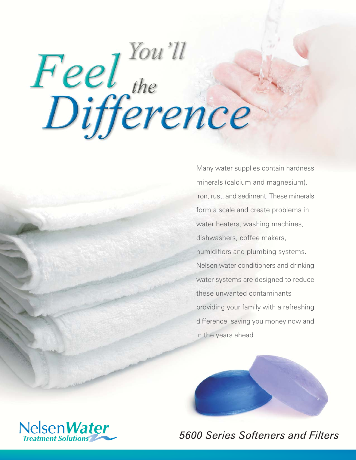# Feel the prence

Many water supplies contain hardness minerals (calcium and magnesium), iron, rust, and sediment. These minerals form a scale and create problems in water heaters, washing machines, dishwashers, coffee makers. humidifiers and plumbing systems. Nelsen water conditioners and drinking water systems are designed to reduce these unwanted contaminants providing your family with a refreshing difference, saving you money now and in the years ahead.





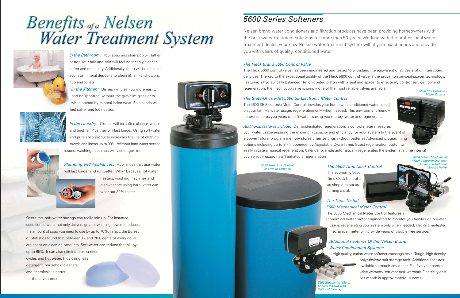## Benefits <sub>of a</sub> Nelsen<br>Water Treatment System



In the Bathroom: Your soap and shampoo will lather better. Your hair and skin will feel noticeably cleaner, softer and not as dry. Additionally, there will be no soap scum or mineral deposits to clean off sinks, showers, tub and toilets.

In the Kitchen: Dishes will clean up more easily, and be spot-free, without the gray film glass gets when etched by mineral laden wear. Plus hands will feel softer and look better.



In the Laundry: Clothes will be softer, cleaner, whiter, and brighter. Plus they will last longer. Using soft water and pure soap products increases the life of clothing, towels and linens up to 33%. Without hard water service issues, washing machines will last longer, too.

Plumbing and Appliances: Appliances that use water will last longer and run better. Why? Because hot water

heaters, washing machines and dishwashers using hard water can wear out 30% faster.

Over time, soft water savings can really add up. For instance, conditioned water not only delivers greater washing power, it reduces the amount of soap you need to use by up to 70%. In fact, the Bureau of Statistics found that between 17 and 20.8 cents of every dollar are spent on cleaning products. Soft water can reduce that bill by up to 65%. It can also eliminate extra rinse cycles and hot water. Plus using less detergent, household cleaners and chemicals is better for the environment.



#### **5600 Series Softeners**

Nelsen brand water conditioners and filtration products have been providing homeowners with the best water treatment solutions for more than 50 years. Working with the professional water treatment dealer, your new Nelsen water treatment system will fit your exact needs and provide you with years of quality, conditioned water.

#### The Fleck Brand 5600 Control Valve

The Fleck 5600 control valve has been engineered and tested to withstand the equivalent of 27 years of uninterrupted daily use. The key to the exceptional quality of the Fleck 5600 control valve is the proven piston-seal-spacer technology. Featuring a hydraulically balanced, Teflon-coated piston with a seal and spacer to effectively control service flow and regeneration, the Fleck 5600 valve is simply one of the most reliable valves available. **5600 SE Electronic** 

#### The State-Of-The-Art 5600 SE Electronic Meter Control

The 5600 SE Electronic Meter Control provides your home with conditioned water based on your family's water usage, regenerating only when needed. This environment-friendly control ensures you years of soft water; saving you money, water and regenerant.

Additional features include: Demand-initiated regeneration; a control meter measures your water usage ensuring the maximum capacity and efficiency for your system In the event of a power failure, program memory stores timer settings without batteries Advanced programming options including up to Six Independently Adjustable Cycle Times Guest regeneration button to easily initiate a manual regeneration. Calendar override automatically regenerates the system at a time interval you select if usage hasn't initiated a regeneration

**5600 Timeclock Control** (shown on softener)

#### The 5600 Time Clock Control

#### **The Time-Tested 5600 Mechanical Meter Control** The 5600 Mechanical Meter Control features an

economical water meter engineered to monitor you family's daily water usage, regenerating your system only when needed. Fleck's time-tested mechanical meter will provide years of trouble-free service.

Control (shown with Optional Bypassl

The economic 5600 Time Clock Control is as simple to set as turning a dial.

#### **Additional Features Of the Nelsen Brand Water Conditioning Systems**

High quality, cation water softener exchange resin. Tough, high density,



polyethylene salt storage tank. Additional features available to match any decor. Full five year control valve warranty, ten year tank warranty. Electricity cost per month is approximately 10 cents.

**5600 L-Back Mechanical** Meter Control w/Designe **Cover and Optional** Bvpass Valve

**Meter Control**